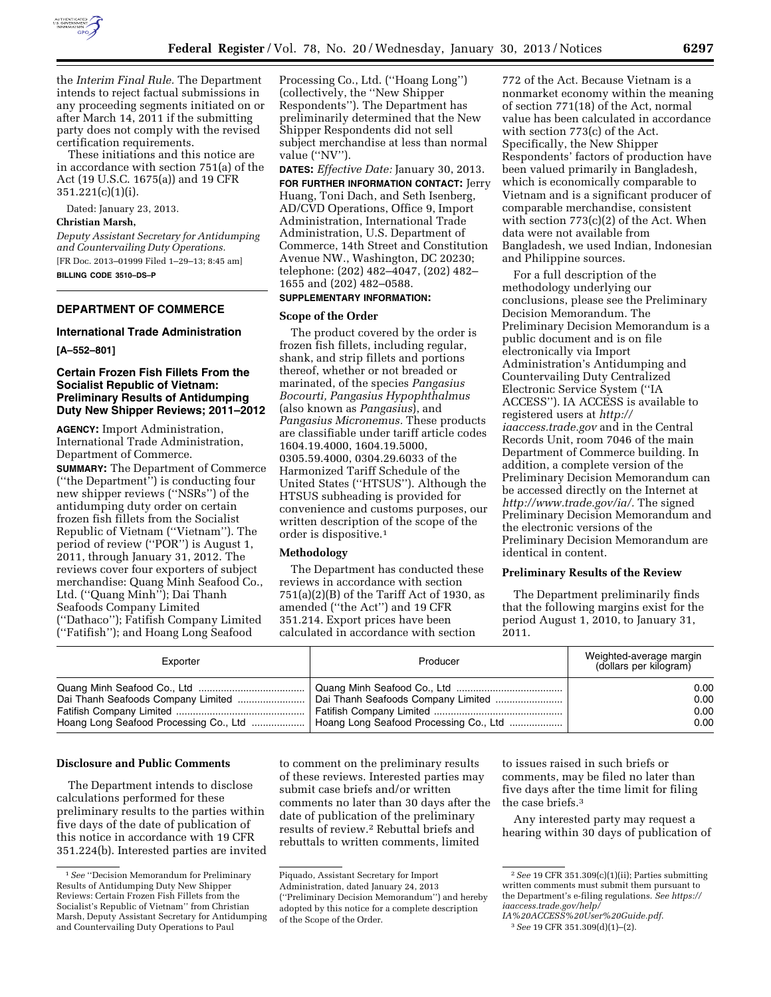

the *Interim Final Rule.* The Department intends to reject factual submissions in any proceeding segments initiated on or after March 14, 2011 if the submitting party does not comply with the revised certification requirements.

These initiations and this notice are in accordance with section 751(a) of the Act (19 U.S.C. 1675(a)) and 19 CFR 351.221(c)(1)(i).

Dated: January 23, 2013.

## **Christian Marsh,**

*Deputy Assistant Secretary for Antidumping and Countervailing Duty Operations.*  [FR Doc. 2013–01999 Filed 1–29–13; 8:45 am] **BILLING CODE 3510–DS–P** 

## **DEPARTMENT OF COMMERCE**

## **International Trade Administration**

**[A–552–801]** 

# **Certain Frozen Fish Fillets From the Socialist Republic of Vietnam: Preliminary Results of Antidumping Duty New Shipper Reviews; 2011–2012**

**AGENCY:** Import Administration, International Trade Administration, Department of Commerce.

**SUMMARY:** The Department of Commerce (''the Department'') is conducting four new shipper reviews (''NSRs'') of the antidumping duty order on certain frozen fish fillets from the Socialist Republic of Vietnam (''Vietnam''). The period of review (''POR'') is August 1, 2011, through January 31, 2012. The reviews cover four exporters of subject merchandise: Quang Minh Seafood Co., Ltd. (''Quang Minh''); Dai Thanh Seafoods Company Limited (''Dathaco''); Fatifish Company Limited (''Fatifish''); and Hoang Long Seafood

Processing Co., Ltd. (''Hoang Long'') (collectively, the ''New Shipper Respondents''). The Department has preliminarily determined that the New Shipper Respondents did not sell subject merchandise at less than normal value (''NV'').

**DATES:** *Effective Date:* January 30, 2013.

**FOR FURTHER INFORMATION CONTACT:** Jerry Huang, Toni Dach, and Seth Isenberg, AD/CVD Operations, Office 9, Import Administration, International Trade Administration, U.S. Department of Commerce, 14th Street and Constitution Avenue NW., Washington, DC 20230; telephone: (202) 482–4047, (202) 482– 1655 and (202) 482–0588.

# **SUPPLEMENTARY INFORMATION:**

## **Scope of the Order**

The product covered by the order is frozen fish fillets, including regular, shank, and strip fillets and portions thereof, whether or not breaded or marinated, of the species *Pangasius Bocourti, Pangasius Hypophthalmus*  (also known as *Pangasius*), and *Pangasius Micronemus.* These products are classifiable under tariff article codes 1604.19.4000, 1604.19.5000, 0305.59.4000, 0304.29.6033 of the Harmonized Tariff Schedule of the United States (''HTSUS''). Although the HTSUS subheading is provided for convenience and customs purposes, our written description of the scope of the order is dispositive.1

### **Methodology**

The Department has conducted these reviews in accordance with section  $751(a)(2)(B)$  of the Tariff Act of 1930, as amended (''the Act'') and 19 CFR 351.214. Export prices have been calculated in accordance with section

772 of the Act. Because Vietnam is a nonmarket economy within the meaning of section 771(18) of the Act, normal value has been calculated in accordance with section 773(c) of the Act. Specifically, the New Shipper Respondents' factors of production have been valued primarily in Bangladesh, which is economically comparable to Vietnam and is a significant producer of comparable merchandise, consistent with section 773(c)(2) of the Act. When data were not available from Bangladesh, we used Indian, Indonesian and Philippine sources.

For a full description of the methodology underlying our conclusions, please see the Preliminary Decision Memorandum. The Preliminary Decision Memorandum is a public document and is on file electronically via Import Administration's Antidumping and Countervailing Duty Centralized Electronic Service System (''IA ACCESS''). IA ACCESS is available to registered users at *[http://](http://iaaccess.trade.gov) [iaaccess.trade.gov](http://iaaccess.trade.gov)* and in the Central Records Unit, room 7046 of the main Department of Commerce building. In addition, a complete version of the Preliminary Decision Memorandum can be accessed directly on the Internet at *[http://www.trade.gov/ia/.](http://www.trade.gov/ia/)* The signed Preliminary Decision Memorandum and the electronic versions of the Preliminary Decision Memorandum are identical in content.

### **Preliminary Results of the Review**

The Department preliminarily finds that the following margins exist for the period August 1, 2010, to January 31, 2011.

| Exporter                               | Producer                               | Weighted-average margin<br>(dollars per kilogram) |
|----------------------------------------|----------------------------------------|---------------------------------------------------|
|                                        |                                        | 0.00                                              |
|                                        | Dai Thanh Seafoods Company Limited     | 0.00                                              |
|                                        |                                        | 0.00                                              |
| Hoang Long Seafood Processing Co., Ltd | Hoang Long Seafood Processing Co., Ltd | 0.00                                              |

#### **Disclosure and Public Comments**

The Department intends to disclose calculations performed for these preliminary results to the parties within five days of the date of publication of this notice in accordance with 19 CFR 351.224(b). Interested parties are invited to comment on the preliminary results of these reviews. Interested parties may submit case briefs and/or written comments no later than 30 days after the date of publication of the preliminary results of review.2 Rebuttal briefs and rebuttals to written comments, limited

to issues raised in such briefs or comments, may be filed no later than five days after the time limit for filing the case briefs.3

Any interested party may request a hearing within 30 days of publication of

<sup>1</sup>*See* ''Decision Memorandum for Preliminary Results of Antidumping Duty New Shipper Reviews: Certain Frozen Fish Fillets from the Socialist's Republic of Vietnam'' from Christian Marsh, Deputy Assistant Secretary for Antidumping and Countervailing Duty Operations to Paul

Piquado, Assistant Secretary for Import Administration, dated January 24, 2013 (''Preliminary Decision Memorandum'') and hereby adopted by this notice for a complete description of the Scope of the Order.

<sup>2</sup>*See* 19 CFR 351.309(c)(1)(ii); Parties submitting written comments must submit them pursuant to the Department's e-filing regulations. *See [https://](https://iaaccess.trade.gov/help/IA%20ACCESS%20User%20Guide.pdf) [iaaccess.trade.gov/help/](https://iaaccess.trade.gov/help/IA%20ACCESS%20User%20Guide.pdf)* 

*[IA%20ACCESS%20User%20Guide.pdf](https://iaaccess.trade.gov/help/IA%20ACCESS%20User%20Guide.pdf)*.

<sup>3</sup>*See* 19 CFR 351.309(d)(1)–(2).